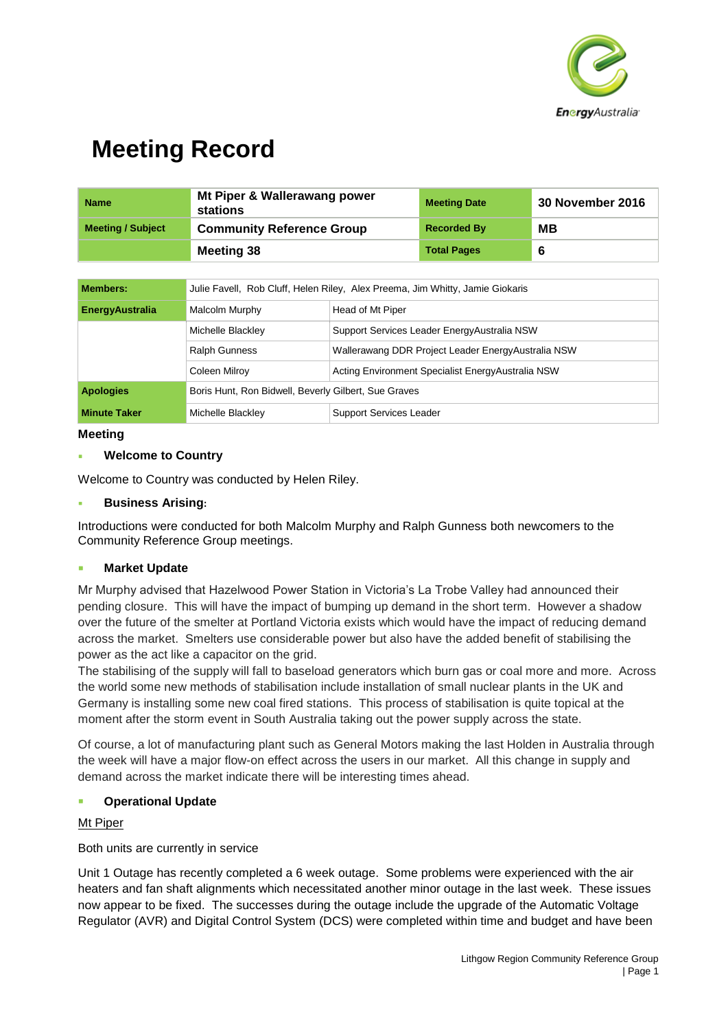

| <b>Name</b>              | Mt Piper & Wallerawang power<br>stations | <b>Meeting Date</b> | <b>30 November 2016</b> |
|--------------------------|------------------------------------------|---------------------|-------------------------|
| <b>Meeting / Subject</b> | <b>Community Reference Group</b>         | <b>Recorded By</b>  | MВ                      |
|                          | <b>Meeting 38</b>                        | <b>Total Pages</b>  | -6                      |

| <b>Members:</b>        | Julie Favell, Rob Cluff, Helen Riley, Alex Preema, Jim Whitty, Jamie Giokaris |                                                    |  |
|------------------------|-------------------------------------------------------------------------------|----------------------------------------------------|--|
| <b>EnergyAustralia</b> | Malcolm Murphy                                                                | Head of Mt Piper                                   |  |
|                        | Michelle Blackley                                                             | Support Services Leader Energy Australia NSW       |  |
|                        | <b>Ralph Gunness</b>                                                          | Wallerawang DDR Project Leader EnergyAustralia NSW |  |
|                        | Coleen Milroy                                                                 | Acting Environment Specialist EnergyAustralia NSW  |  |
| <b>Apologies</b>       | Boris Hunt, Ron Bidwell, Beverly Gilbert, Sue Graves                          |                                                    |  |
| <b>Minute Taker</b>    | Michelle Blackley                                                             | <b>Support Services Leader</b>                     |  |

#### **Meeting**

#### **Welcome to Country**

Welcome to Country was conducted by Helen Riley.

#### **Business Arising:**

Introductions were conducted for both Malcolm Murphy and Ralph Gunness both newcomers to the Community Reference Group meetings.

#### **Market Update**

Mr Murphy advised that Hazelwood Power Station in Victoria's La Trobe Valley had announced their pending closure. This will have the impact of bumping up demand in the short term. However a shadow over the future of the smelter at Portland Victoria exists which would have the impact of reducing demand across the market. Smelters use considerable power but also have the added benefit of stabilising the power as the act like a capacitor on the grid.

The stabilising of the supply will fall to baseload generators which burn gas or coal more and more. Across the world some new methods of stabilisation include installation of small nuclear plants in the UK and Germany is installing some new coal fired stations. This process of stabilisation is quite topical at the moment after the storm event in South Australia taking out the power supply across the state.

Of course, a lot of manufacturing plant such as General Motors making the last Holden in Australia through the week will have a major flow-on effect across the users in our market. All this change in supply and demand across the market indicate there will be interesting times ahead.

#### **Operational Update**

#### Mt Piper

Both units are currently in service

Unit 1 Outage has recently completed a 6 week outage. Some problems were experienced with the air heaters and fan shaft alignments which necessitated another minor outage in the last week. These issues now appear to be fixed. The successes during the outage include the upgrade of the Automatic Voltage Regulator (AVR) and Digital Control System (DCS) were completed within time and budget and have been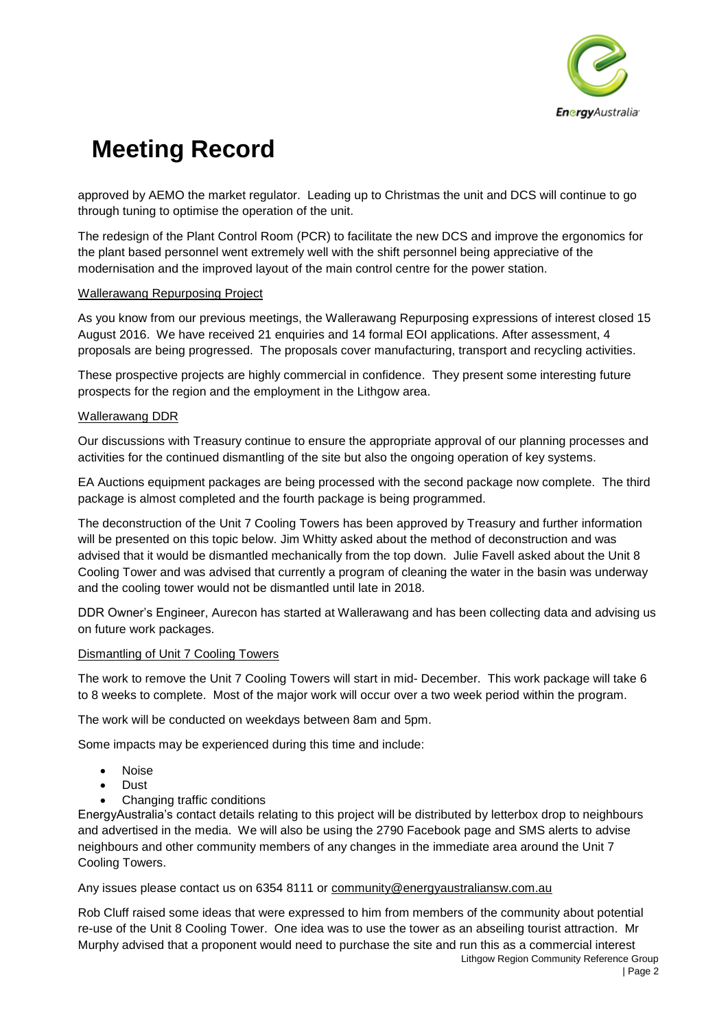

approved by AEMO the market regulator. Leading up to Christmas the unit and DCS will continue to go through tuning to optimise the operation of the unit.

The redesign of the Plant Control Room (PCR) to facilitate the new DCS and improve the ergonomics for the plant based personnel went extremely well with the shift personnel being appreciative of the modernisation and the improved layout of the main control centre for the power station.

#### Wallerawang Repurposing Project

As you know from our previous meetings, the Wallerawang Repurposing expressions of interest closed 15 August 2016. We have received 21 enquiries and 14 formal EOI applications. After assessment, 4 proposals are being progressed. The proposals cover manufacturing, transport and recycling activities.

These prospective projects are highly commercial in confidence. They present some interesting future prospects for the region and the employment in the Lithgow area.

#### Wallerawang DDR

Our discussions with Treasury continue to ensure the appropriate approval of our planning processes and activities for the continued dismantling of the site but also the ongoing operation of key systems.

EA Auctions equipment packages are being processed with the second package now complete. The third package is almost completed and the fourth package is being programmed.

The deconstruction of the Unit 7 Cooling Towers has been approved by Treasury and further information will be presented on this topic below. Jim Whitty asked about the method of deconstruction and was advised that it would be dismantled mechanically from the top down. Julie Favell asked about the Unit 8 Cooling Tower and was advised that currently a program of cleaning the water in the basin was underway and the cooling tower would not be dismantled until late in 2018.

DDR Owner's Engineer, Aurecon has started at Wallerawang and has been collecting data and advising us on future work packages.

#### Dismantling of Unit 7 Cooling Towers

The work to remove the Unit 7 Cooling Towers will start in mid- December. This work package will take 6 to 8 weeks to complete. Most of the major work will occur over a two week period within the program.

The work will be conducted on weekdays between 8am and 5pm.

Some impacts may be experienced during this time and include:

- Noise
- Dust
- Changing traffic conditions

EnergyAustralia's contact details relating to this project will be distributed by letterbox drop to neighbours and advertised in the media. We will also be using the 2790 Facebook page and SMS alerts to advise neighbours and other community members of any changes in the immediate area around the Unit 7 Cooling Towers.

Any issues please contact us on 6354 8111 or [community@energyaustraliansw.com.au](mailto:community@energyaustraliansw.com.au)

Lithgow Region Community Reference Group Rob Cluff raised some ideas that were expressed to him from members of the community about potential re-use of the Unit 8 Cooling Tower. One idea was to use the tower as an abseiling tourist attraction. Mr Murphy advised that a proponent would need to purchase the site and run this as a commercial interest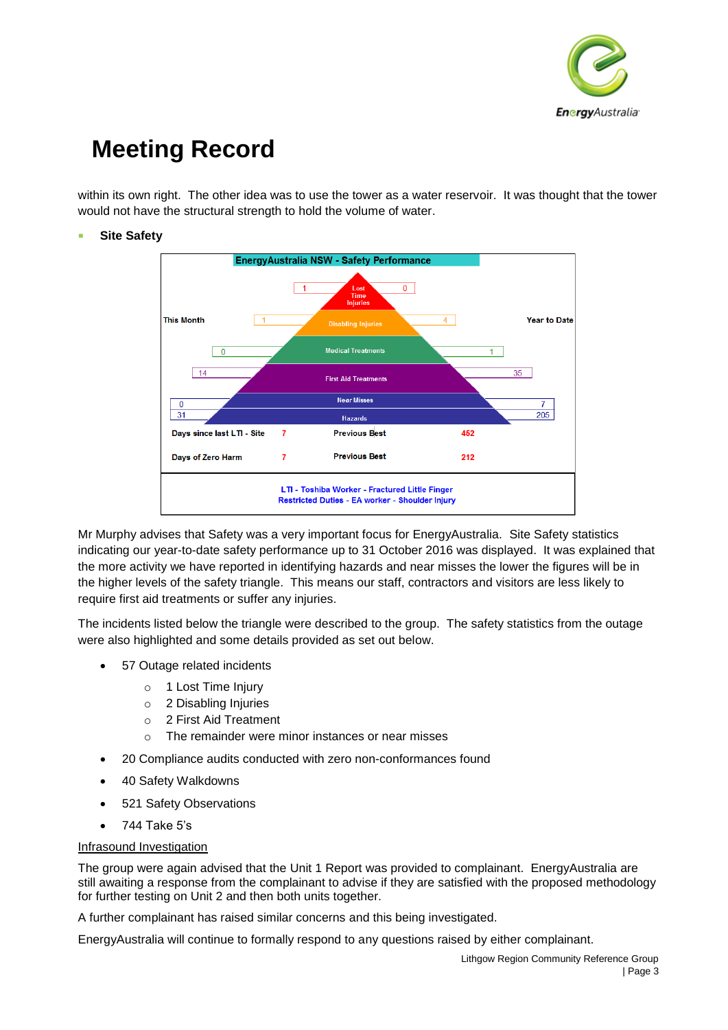

within its own right. The other idea was to use the tower as a water reservoir. It was thought that the tower would not have the structural strength to hold the volume of water.

#### **Site Safety**



Mr Murphy advises that Safety was a very important focus for EnergyAustralia. Site Safety statistics indicating our year-to-date safety performance up to 31 October 2016 was displayed. It was explained that the more activity we have reported in identifying hazards and near misses the lower the figures will be in the higher levels of the safety triangle. This means our staff, contractors and visitors are less likely to require first aid treatments or suffer any injuries.

The incidents listed below the triangle were described to the group. The safety statistics from the outage were also highlighted and some details provided as set out below.

- 57 Outage related incidents
	- o 1 Lost Time Injury
	- o 2 Disabling Injuries
	- o 2 First Aid Treatment
	- o The remainder were minor instances or near misses
- 20 Compliance audits conducted with zero non-conformances found
- 40 Safety Walkdowns
- 521 Safety Observations
- 744 Take 5's

#### Infrasound Investigation

The group were again advised that the Unit 1 Report was provided to complainant. EnergyAustralia are still awaiting a response from the complainant to advise if they are satisfied with the proposed methodology for further testing on Unit 2 and then both units together.

A further complainant has raised similar concerns and this being investigated.

EnergyAustralia will continue to formally respond to any questions raised by either complainant.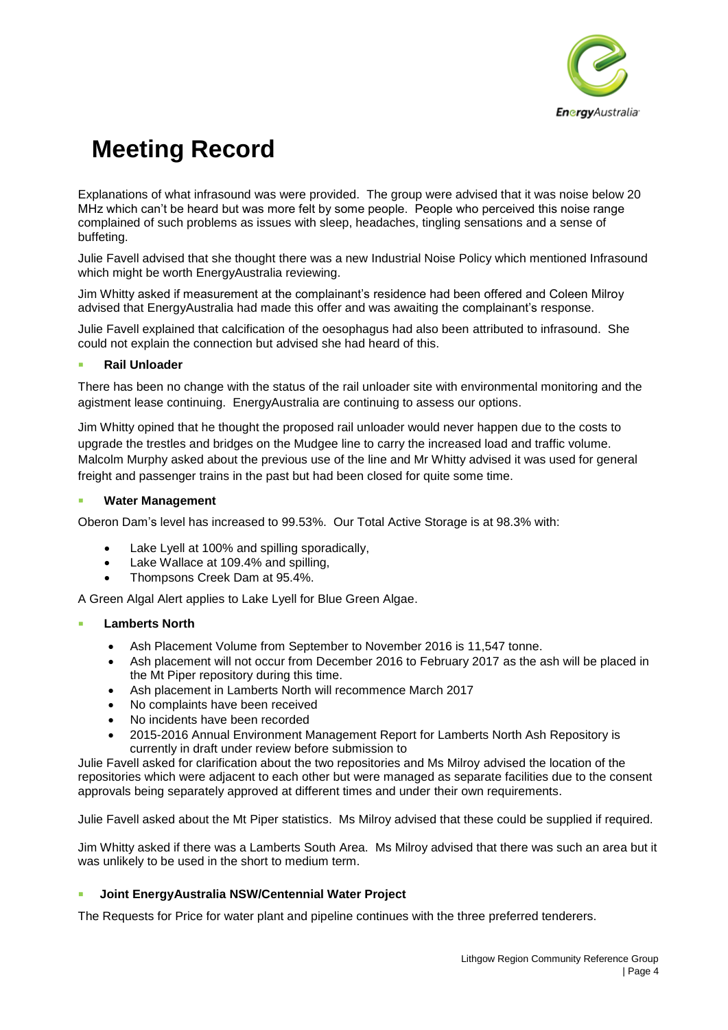

Explanations of what infrasound was were provided. The group were advised that it was noise below 20 MHz which can't be heard but was more felt by some people. People who perceived this noise range complained of such problems as issues with sleep, headaches, tingling sensations and a sense of buffeting.

Julie Favell advised that she thought there was a new Industrial Noise Policy which mentioned Infrasound which might be worth EnergyAustralia reviewing.

Jim Whitty asked if measurement at the complainant's residence had been offered and Coleen Milroy advised that EnergyAustralia had made this offer and was awaiting the complainant's response.

Julie Favell explained that calcification of the oesophagus had also been attributed to infrasound. She could not explain the connection but advised she had heard of this.

#### **Rail Unloader**

There has been no change with the status of the rail unloader site with environmental monitoring and the agistment lease continuing. EnergyAustralia are continuing to assess our options.

Jim Whitty opined that he thought the proposed rail unloader would never happen due to the costs to upgrade the trestles and bridges on the Mudgee line to carry the increased load and traffic volume. Malcolm Murphy asked about the previous use of the line and Mr Whitty advised it was used for general freight and passenger trains in the past but had been closed for quite some time.

#### **Water Management**

Oberon Dam's level has increased to 99.53%. Our Total Active Storage is at 98.3% with:

- Lake Lyell at 100% and spilling sporadically,
- Lake Wallace at 109.4% and spilling,
- Thompsons Creek Dam at 95.4%.

A Green Algal Alert applies to Lake Lyell for Blue Green Algae.

#### **Lamberts North**

- Ash Placement Volume from September to November 2016 is 11,547 tonne.
- Ash placement will not occur from December 2016 to February 2017 as the ash will be placed in the Mt Piper repository during this time.
- Ash placement in Lamberts North will recommence March 2017
- No complaints have been received
- No incidents have been recorded
- 2015-2016 Annual Environment Management Report for Lamberts North Ash Repository is currently in draft under review before submission to

Julie Favell asked for clarification about the two repositories and Ms Milroy advised the location of the repositories which were adjacent to each other but were managed as separate facilities due to the consent approvals being separately approved at different times and under their own requirements.

Julie Favell asked about the Mt Piper statistics. Ms Milroy advised that these could be supplied if required.

Jim Whitty asked if there was a Lamberts South Area. Ms Milroy advised that there was such an area but it was unlikely to be used in the short to medium term.

#### **Joint EnergyAustralia NSW/Centennial Water Project**

The Requests for Price for water plant and pipeline continues with the three preferred tenderers.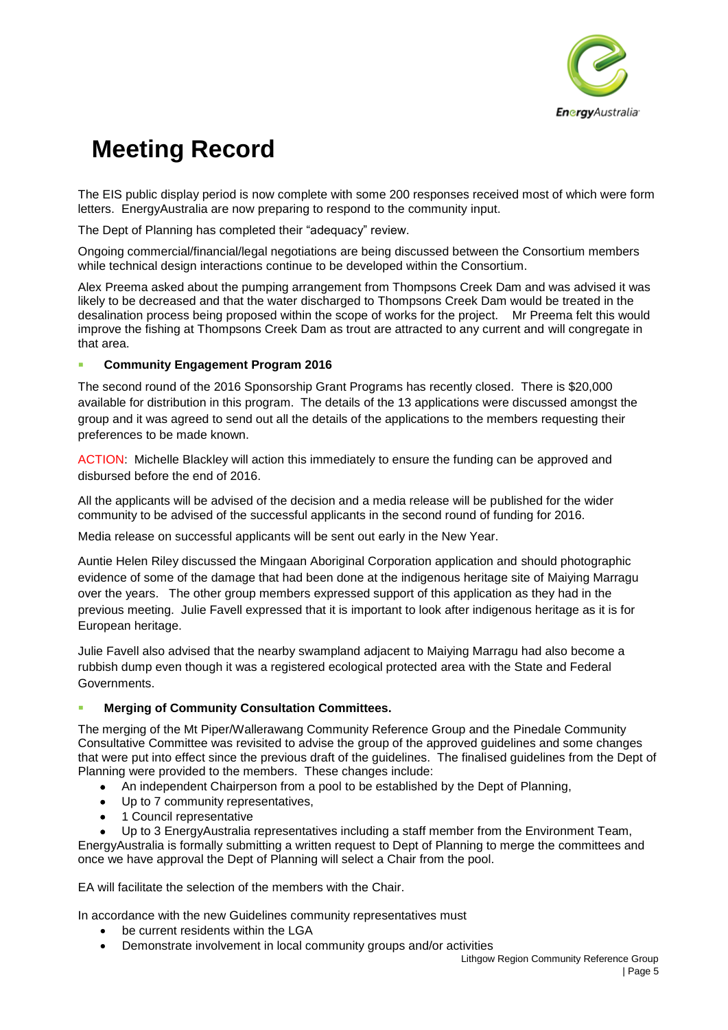

The EIS public display period is now complete with some 200 responses received most of which were form letters. EnergyAustralia are now preparing to respond to the community input.

The Dept of Planning has completed their "adequacy" review.

Ongoing commercial/financial/legal negotiations are being discussed between the Consortium members while technical design interactions continue to be developed within the Consortium.

Alex Preema asked about the pumping arrangement from Thompsons Creek Dam and was advised it was likely to be decreased and that the water discharged to Thompsons Creek Dam would be treated in the desalination process being proposed within the scope of works for the project. Mr Preema felt this would improve the fishing at Thompsons Creek Dam as trout are attracted to any current and will congregate in that area.

#### **Community Engagement Program 2016**

The second round of the 2016 Sponsorship Grant Programs has recently closed. There is \$20,000 available for distribution in this program. The details of the 13 applications were discussed amongst the group and it was agreed to send out all the details of the applications to the members requesting their preferences to be made known.

ACTION: Michelle Blackley will action this immediately to ensure the funding can be approved and disbursed before the end of 2016.

All the applicants will be advised of the decision and a media release will be published for the wider community to be advised of the successful applicants in the second round of funding for 2016.

Media release on successful applicants will be sent out early in the New Year.

Auntie Helen Riley discussed the Mingaan Aboriginal Corporation application and should photographic evidence of some of the damage that had been done at the indigenous heritage site of Maiying Marragu over the years. The other group members expressed support of this application as they had in the previous meeting. Julie Favell expressed that it is important to look after indigenous heritage as it is for European heritage.

Julie Favell also advised that the nearby swampland adjacent to Maiying Marragu had also become a rubbish dump even though it was a registered ecological protected area with the State and Federal Governments.

#### **Merging of Community Consultation Committees.**

The merging of the Mt Piper/Wallerawang Community Reference Group and the Pinedale Community Consultative Committee was revisited to advise the group of the approved guidelines and some changes that were put into effect since the previous draft of the guidelines. The finalised guidelines from the Dept of Planning were provided to the members. These changes include:

- An independent Chairperson from a pool to be established by the Dept of Planning,
- Up to 7 community representatives.
- 1 Council representative
- Up to 3 EnergyAustralia representatives including a staff member from the Environment Team,

EnergyAustralia is formally submitting a written request to Dept of Planning to merge the committees and once we have approval the Dept of Planning will select a Chair from the pool.

EA will facilitate the selection of the members with the Chair.

In accordance with the new Guidelines community representatives must

- be current residents within the LGA
- Demonstrate involvement in local community groups and/or activities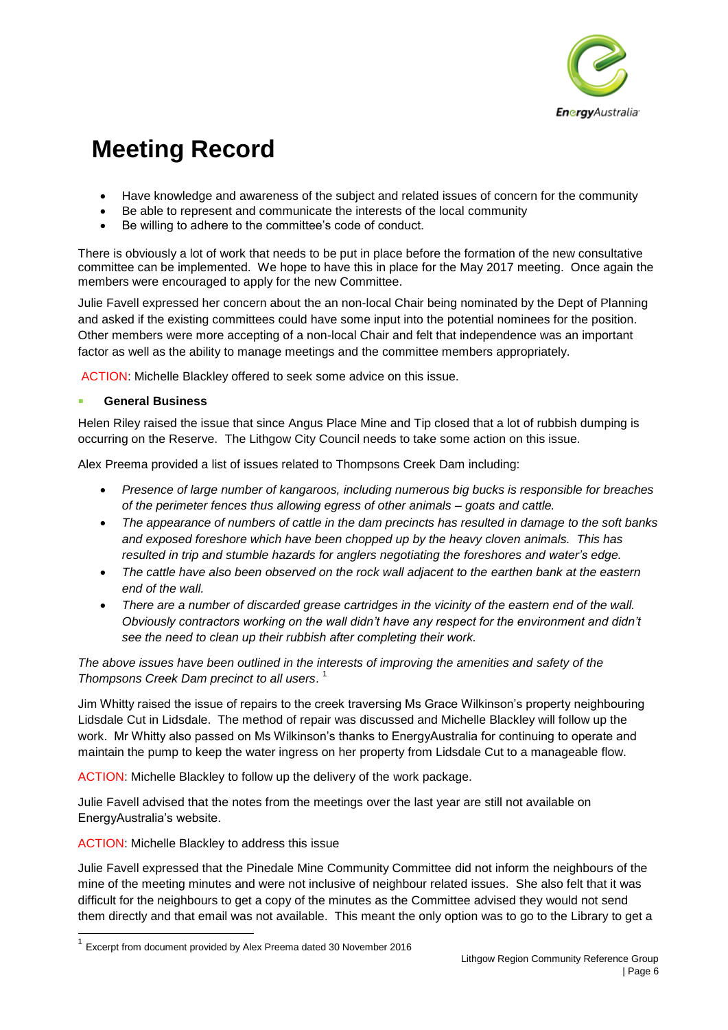

- Have knowledge and awareness of the subject and related issues of concern for the community
- Be able to represent and communicate the interests of the local community
- Be willing to adhere to the committee's code of conduct.

There is obviously a lot of work that needs to be put in place before the formation of the new consultative committee can be implemented. We hope to have this in place for the May 2017 meeting. Once again the members were encouraged to apply for the new Committee.

Julie Favell expressed her concern about the an non-local Chair being nominated by the Dept of Planning and asked if the existing committees could have some input into the potential nominees for the position. Other members were more accepting of a non-local Chair and felt that independence was an important factor as well as the ability to manage meetings and the committee members appropriately.

ACTION: Michelle Blackley offered to seek some advice on this issue.

#### **General Business**

Helen Riley raised the issue that since Angus Place Mine and Tip closed that a lot of rubbish dumping is occurring on the Reserve. The Lithgow City Council needs to take some action on this issue.

Alex Preema provided a list of issues related to Thompsons Creek Dam including:

- *Presence of large number of kangaroos, including numerous big bucks is responsible for breaches of the perimeter fences thus allowing egress of other animals – goats and cattle.*
- *The appearance of numbers of cattle in the dam precincts has resulted in damage to the soft banks and exposed foreshore which have been chopped up by the heavy cloven animals. This has resulted in trip and stumble hazards for anglers negotiating the foreshores and water's edge.*
- *The cattle have also been observed on the rock wall adjacent to the earthen bank at the eastern end of the wall.*
- *There are a number of discarded grease cartridges in the vicinity of the eastern end of the wall. Obviously contractors working on the wall didn't have any respect for the environment and didn't see the need to clean up their rubbish after completing their work.*

*The above issues have been outlined in the interests of improving the amenities and safety of the Thompsons Creek Dam precinct to all users*. 1

Jim Whitty raised the issue of repairs to the creek traversing Ms Grace Wilkinson's property neighbouring Lidsdale Cut in Lidsdale. The method of repair was discussed and Michelle Blackley will follow up the work. Mr Whitty also passed on Ms Wilkinson's thanks to EnergyAustralia for continuing to operate and maintain the pump to keep the water ingress on her property from Lidsdale Cut to a manageable flow.

ACTION: Michelle Blackley to follow up the delivery of the work package.

Julie Favell advised that the notes from the meetings over the last year are still not available on EnergyAustralia's website.

ACTION: Michelle Blackley to address this issue

Julie Favell expressed that the Pinedale Mine Community Committee did not inform the neighbours of the mine of the meeting minutes and were not inclusive of neighbour related issues. She also felt that it was difficult for the neighbours to get a copy of the minutes as the Committee advised they would not send them directly and that email was not available. This meant the only option was to go to the Library to get a

 1 Excerpt from document provided by Alex Preema dated 30 November 2016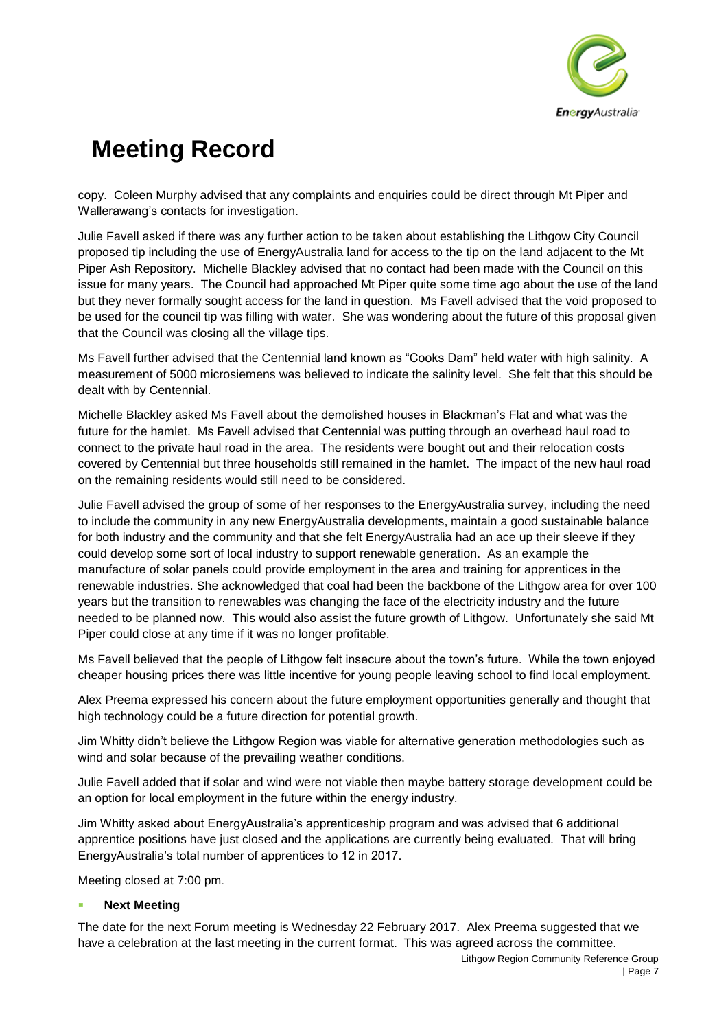

copy. Coleen Murphy advised that any complaints and enquiries could be direct through Mt Piper and Wallerawang's contacts for investigation.

Julie Favell asked if there was any further action to be taken about establishing the Lithgow City Council proposed tip including the use of EnergyAustralia land for access to the tip on the land adjacent to the Mt Piper Ash Repository. Michelle Blackley advised that no contact had been made with the Council on this issue for many years. The Council had approached Mt Piper quite some time ago about the use of the land but they never formally sought access for the land in question. Ms Favell advised that the void proposed to be used for the council tip was filling with water. She was wondering about the future of this proposal given that the Council was closing all the village tips.

Ms Favell further advised that the Centennial land known as "Cooks Dam" held water with high salinity. A measurement of 5000 microsiemens was believed to indicate the salinity level. She felt that this should be dealt with by Centennial.

Michelle Blackley asked Ms Favell about the demolished houses in Blackman's Flat and what was the future for the hamlet. Ms Favell advised that Centennial was putting through an overhead haul road to connect to the private haul road in the area. The residents were bought out and their relocation costs covered by Centennial but three households still remained in the hamlet. The impact of the new haul road on the remaining residents would still need to be considered.

Julie Favell advised the group of some of her responses to the EnergyAustralia survey, including the need to include the community in any new EnergyAustralia developments, maintain a good sustainable balance for both industry and the community and that she felt EnergyAustralia had an ace up their sleeve if they could develop some sort of local industry to support renewable generation. As an example the manufacture of solar panels could provide employment in the area and training for apprentices in the renewable industries. She acknowledged that coal had been the backbone of the Lithgow area for over 100 years but the transition to renewables was changing the face of the electricity industry and the future needed to be planned now. This would also assist the future growth of Lithgow. Unfortunately she said Mt Piper could close at any time if it was no longer profitable.

Ms Favell believed that the people of Lithgow felt insecure about the town's future. While the town enjoyed cheaper housing prices there was little incentive for young people leaving school to find local employment.

Alex Preema expressed his concern about the future employment opportunities generally and thought that high technology could be a future direction for potential growth.

Jim Whitty didn't believe the Lithgow Region was viable for alternative generation methodologies such as wind and solar because of the prevailing weather conditions.

Julie Favell added that if solar and wind were not viable then maybe battery storage development could be an option for local employment in the future within the energy industry.

Jim Whitty asked about EnergyAustralia's apprenticeship program and was advised that 6 additional apprentice positions have just closed and the applications are currently being evaluated. That will bring EnergyAustralia's total number of apprentices to 12 in 2017.

Meeting closed at 7:00 pm.

### **Next Meeting**

The date for the next Forum meeting is Wednesday 22 February 2017. Alex Preema suggested that we have a celebration at the last meeting in the current format. This was agreed across the committee.

Lithgow Region Community Reference Group